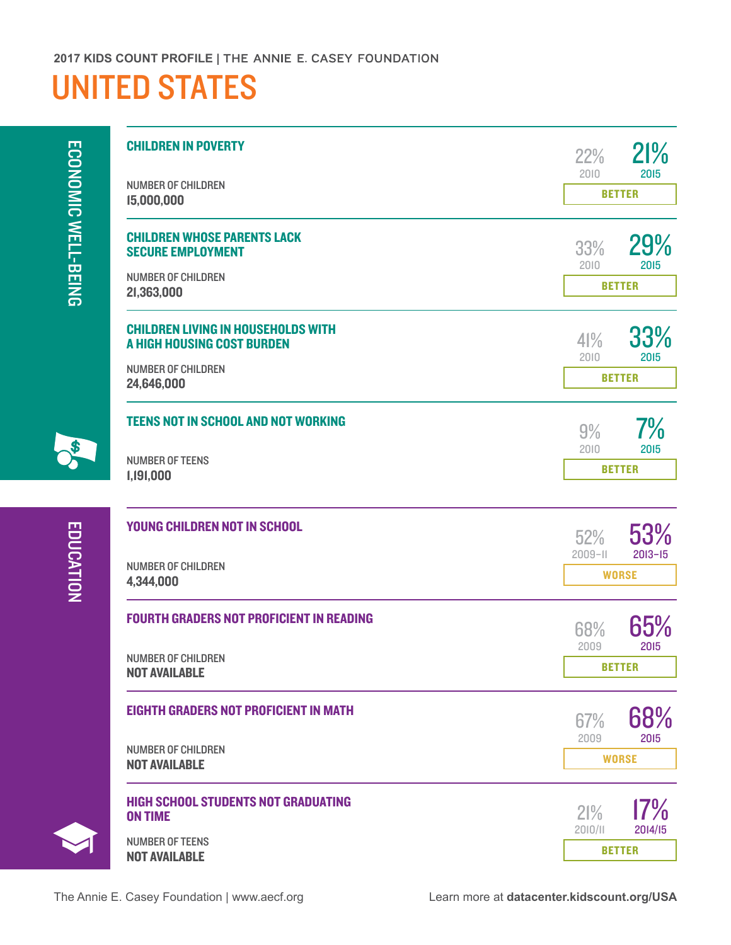## UNITED STATES

ECONOMIC WELL-BEING [ECONOMIC WELL-BEING](http://datacenter.kidscount.org/data#USA/2/16/17,18,19,20,22,21,2720/char/0)

| <b>CHILDREN IN POVERTY</b>                                                     | 21%<br>22%<br>2015                         |
|--------------------------------------------------------------------------------|--------------------------------------------|
| <b>NUMBER OF CHILDREN</b><br>15,000,000                                        | 2010<br><b>BETTER</b>                      |
| <b>CHILDREN WHOSE PARENTS LACK</b><br><b>SECURE EMPLOYMENT</b>                 | 29%<br>33%<br>2010<br>2015                 |
| <b>NUMBER OF CHILDREN</b><br>21,363,000                                        | <b>BETTER</b>                              |
| <b>CHILDREN LIVING IN HOUSEHOLDS WITH</b><br><b>A HIGH HOUSING COST BURDEN</b> | 33%<br>$4\frac{9}{6}$<br>2010<br>2015      |
| <b>NUMBER OF CHILDREN</b><br>24,646,000                                        | <b>BETTER</b>                              |
| <b>TEENS NOT IN SCHOOL AND NOT WORKING</b>                                     | $7\%$<br>9%                                |
| <b>NUMBER OF TEENS</b><br>1,191,000                                            | 2010<br>2015<br><b>BETTER</b>              |
| YOUNG CHILDREN NOT IN SCHOOL                                                   | 53%<br>52%                                 |
| <b>NUMBER OF CHILDREN</b><br>4,344,000                                         | $2013 - 15$<br>$2009 - 11$<br><b>WORSE</b> |
| <b>FOURTH GRADERS NOT PROFICIENT IN READING</b>                                | 65%<br>68%                                 |
| <b>NUMBER OF CHILDREN</b><br><b>NOT AVAILABLE</b>                              | 2009<br>2015<br><b>BETTER</b>              |
| <b>EIGHTH GRADERS NOT PROFICIENT IN MATH</b>                                   | 68%<br>67%                                 |
| <b>NUMBER OF CHILDREN</b><br><b>NOT AVAILABLE</b>                              | 2009<br>2015<br><b>WORSE</b>               |
| <b>HIGH SCHOOL STUDENTS NOT GRADUATING</b><br><b>ON TIME</b>                   | $17\%$<br>21%                              |
| <b>NUMBER OF TEENS</b><br><b>NOT AVAILABLE</b>                                 | 2014/15<br>2010/11<br><b>BETTER</b>        |

 $\frac{1}{2}$